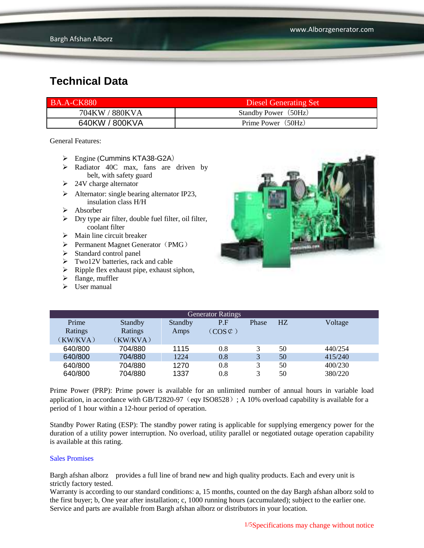| <b>BA.A-CK880</b> | Diesel Generating Set |
|-------------------|-----------------------|
| 704KW / 880KVA    | Standby Power (50Hz)  |
| 640KW / 800KVA    | Prime Power (50Hz)    |

General Features:

- $\triangleright$  Engine (Cummins KTA38-G2A)
- Radiator 40C max, fans are driven by belt, with safety guard
- $\geq$  24V charge alternator
- $\triangleright$  Alternator: single bearing alternator IP23, insulation class H/H
- $\triangleright$  Absorber
- $\triangleright$  Dry type air filter, double fuel filter, oil filter, coolant filter
- $\triangleright$  Main line circuit breaker
- $\triangleright$  Permanent Magnet Generator (PMG)
- $\triangleright$  Standard control panel
- $\triangleright$  Two12V batteries, rack and cable
- $\triangleright$  Ripple flex exhaust pipe, exhaust siphon,
- $\blacktriangleright$  flange, muffler
- $\triangleright$  User manual



| <b>Generator Ratings</b> |                |         |                     |       |    |         |
|--------------------------|----------------|---------|---------------------|-------|----|---------|
| Prime                    | <b>Standby</b> | Standby | P.F                 | Phase | HZ | Voltage |
| Ratings                  | Ratings        | Amps    | $(COS \mathcal{C})$ |       |    |         |
| (KW/KVA)                 | (KW/KVA)       |         |                     |       |    |         |
| 640/800                  | 704/880        | 1115    | 0.8                 | 3     | 50 | 440/254 |
| 640/800                  | 704/880        | 1224    | 0.8                 | 3     | 50 | 415/240 |
| 640/800                  | 704/880        | 1270    | 0.8                 | 3     | 50 | 400/230 |
| 640/800                  | 704/880        | 1337    | 0.8                 | 3     | 50 | 380/220 |

Prime Power (PRP): Prime power is available for an unlimited number of annual hours in variable load application, in accordance with GB/T2820-97 (eqv ISO8528); A 10% overload capability is available for a period of 1 hour within a 12-hour period of operation.

Standby Power Rating (ESP): The standby power rating is applicable for supplying emergency power for the duration of a utility power interruption. No overload, utility parallel or negotiated outage operation capability is available at this rating.

#### Sales Promises

Bargh afshan alborz provides a full line of brand new and high quality products. Each and every unit is strictly factory tested.

Warranty is according to our standard conditions: a, 15 months, counted on the day Bargh afshan alborz sold to the first buyer; b, One year after installation; c, 1000 running hours (accumulated); subject to the earlier one. Service and parts are available from Bargh afshan alborz or distributors in your location.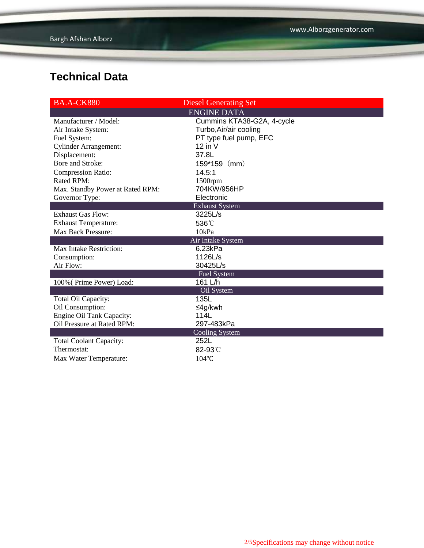| <b>BA.A-CK880</b>                | <b>Diesel Generating Set</b> |
|----------------------------------|------------------------------|
|                                  | <b>ENGINE DATA</b>           |
| Manufacturer / Model:            | Cummins KTA38-G2A, 4-cycle   |
| Air Intake System:               | Turbo, Air/air cooling       |
| Fuel System:                     | PT type fuel pump, EFC       |
| <b>Cylinder Arrangement:</b>     | $12$ in V                    |
| Displacement:                    | 37.8L                        |
| Bore and Stroke:                 | 159*159 (mm)                 |
| <b>Compression Ratio:</b>        | 14.5:1                       |
| Rated RPM:                       | $1500$ rpm                   |
| Max. Standby Power at Rated RPM: | 704KW/956HP                  |
| Governor Type:                   | Electronic                   |
|                                  | <b>Exhaust System</b>        |
| <b>Exhaust Gas Flow:</b>         | 3225L/s                      |
| <b>Exhaust Temperature:</b>      | 536°C                        |
| <b>Max Back Pressure:</b>        | 10kPa                        |
|                                  | Air Intake System            |
| Max Intake Restriction:          | 6.23kPa                      |
| Consumption:                     | 1126L/s                      |
| Air Flow:                        | 30425L/s                     |
|                                  | Fuel System                  |
| 100% (Prime Power) Load:         | 161 L/h                      |
|                                  | Oil System                   |
| Total Oil Capacity:              | 135L                         |
| Oil Consumption:                 | ≤4g/kwh                      |
| <b>Engine Oil Tank Capacity:</b> | 114L                         |
| Oil Pressure at Rated RPM:       | 297-483kPa                   |
|                                  | Cooling System               |
| <b>Total Coolant Capacity:</b>   | 252L                         |
| Thermostat:                      | 82-93°C                      |
| Max Water Temperature:           | 104°C                        |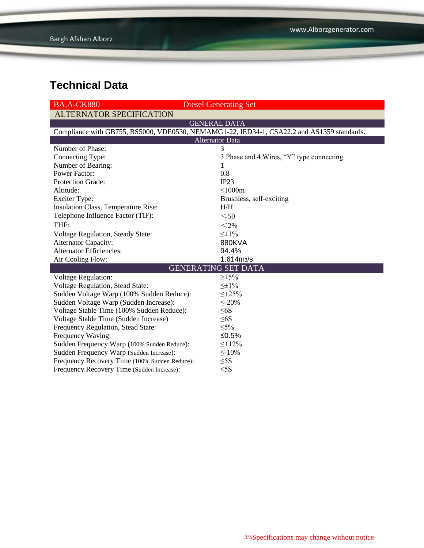| <b>BA.A-CK880</b>                                                                          | <b>Diesel Generating Set</b>             |  |  |  |
|--------------------------------------------------------------------------------------------|------------------------------------------|--|--|--|
| <b>ALTERNATOR SPECIFICATION</b>                                                            |                                          |  |  |  |
|                                                                                            | <b>GENERAL DATA</b>                      |  |  |  |
| Compliance with GB755, BS5000, VDE0530, NEMAMG1-22, IED34-1, CSA22.2 and AS1359 standards. |                                          |  |  |  |
|                                                                                            | <b>Alternator Data</b>                   |  |  |  |
| Number of Phase:                                                                           | 3                                        |  |  |  |
| Connecting Type:                                                                           | 3 Phase and 4 Wires, "Y" type connecting |  |  |  |
| Number of Bearing:                                                                         | $\mathbf{I}$                             |  |  |  |
| <b>Power Factor:</b>                                                                       | 0.8                                      |  |  |  |
| Protection Grade:                                                                          | IP23                                     |  |  |  |
| Altitude:                                                                                  | $\leq 1000m$                             |  |  |  |
| <b>Exciter Type:</b>                                                                       | Brushless, self-exciting                 |  |  |  |
| Insulation Class, Temperature Rise:                                                        | H/H                                      |  |  |  |
| Telephone Influence Factor (TIF):                                                          | $50$                                     |  |  |  |
| THF:                                                                                       | $<$ 2%                                   |  |  |  |
| Voltage Regulation, Steady State:                                                          | $\leq \pm 1\%$                           |  |  |  |
| Alternator Capacity:                                                                       | 880KVA                                   |  |  |  |
| <b>Alternator Efficiencies:</b>                                                            | 94.4%                                    |  |  |  |
| Air Cooling Flow:                                                                          | 1.614m <sub>3</sub> /s                   |  |  |  |
|                                                                                            | <b>GENERATING SET DATA</b>               |  |  |  |
| <b>Voltage Regulation:</b>                                                                 | $\geq \pm 5\%$                           |  |  |  |
| Voltage Regulation, Stead State:                                                           | $\leq \pm 1\%$                           |  |  |  |
| Sudden Voltage Warp (100% Sudden Reduce):                                                  | $\leq +25\%$                             |  |  |  |
| Sudden Voltage Warp (Sudden Increase):                                                     | $\leq$ -20%                              |  |  |  |
| Voltage Stable Time (100% Sudden Reduce):                                                  | $\leq 6S$                                |  |  |  |
| Voltage Stable Time (Sudden Increase)                                                      | $\leq 6S$                                |  |  |  |
| Frequency Regulation, Stead State:                                                         | $\leq 5\%$                               |  |  |  |
| Frequency Waving:                                                                          | $≤0.5%$                                  |  |  |  |
| Sudden Frequency Warp (100% Sudden Reduce):                                                | $\leq +12\%$                             |  |  |  |
| Sudden Frequency Warp (Sudden Increase):                                                   | $\leq$ -10%                              |  |  |  |
| Frequency Recovery Time (100% Sudden Reduce):                                              | $\leq$ 5S                                |  |  |  |
| Frequency Recovery Time (Sudden Increase):                                                 | $\leq$ 5S                                |  |  |  |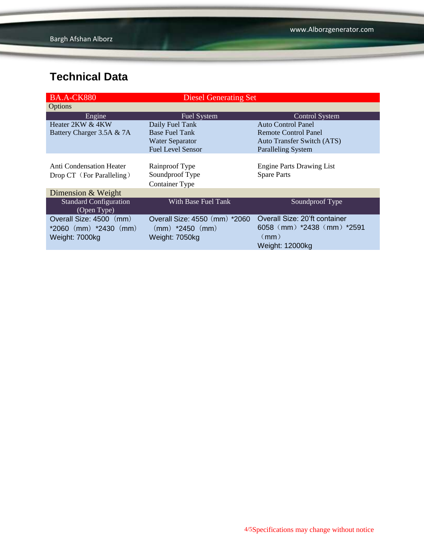| <b>BA.A-CK880</b>                            | <b>Diesel Generating Set</b>  |                                  |
|----------------------------------------------|-------------------------------|----------------------------------|
| Options                                      |                               |                                  |
| Engine                                       | Fuel System                   | <b>Control System</b>            |
| Heater 2KW & 4KW                             | Daily Fuel Tank               | <b>Auto Control Panel</b>        |
| Battery Charger 3.5A & 7A                    | <b>Base Fuel Tank</b>         | Remote Control Panel             |
|                                              | <b>Water Separator</b>        | Auto Transfer Switch (ATS)       |
|                                              | <b>Fuel Level Sensor</b>      | <b>Paralleling System</b>        |
|                                              |                               |                                  |
| Anti Condensation Heater                     | Rainproof Type                | <b>Engine Parts Drawing List</b> |
| Drop CT (For Paralleling)                    | Soundproof Type               | <b>Spare Parts</b>               |
|                                              | <b>Container Type</b>         |                                  |
| Dimension & Weight                           |                               |                                  |
| <b>Standard Configuration</b><br>(Open Type) | With Base Fuel Tank           | Soundproof Type                  |
| Overall Size: 4500 (mm)                      | Overall Size: 4550 (mm) *2060 | Overall Size: 20'ft container    |
| $*2060$ (mm) $*2430$ (mm)                    | $(mm)$ *2450 $(mm)$           | $6058$ (mm) $*2438$ (mm) $*2591$ |
| Weight: 7000kg                               | Weight: 7050kg                | (mm)                             |
|                                              |                               | Weight: 12000kg                  |